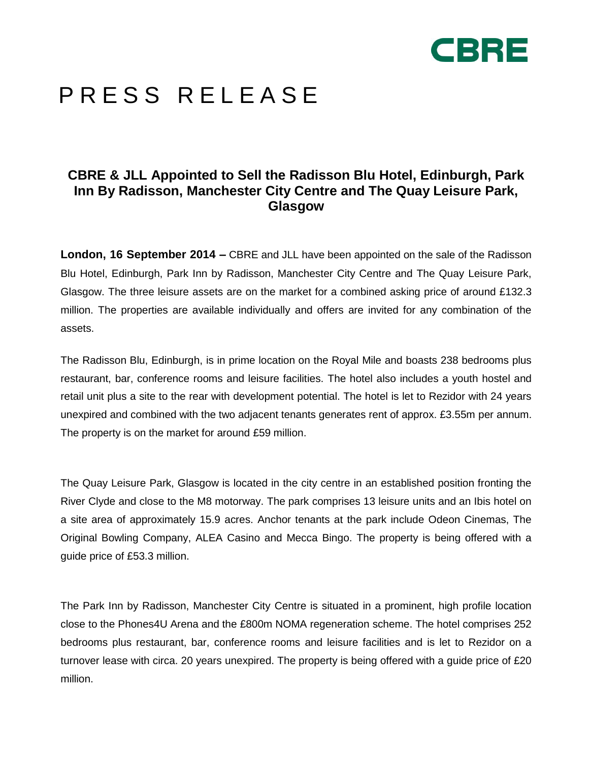

# PRESS RELEASE

# **CBRE & JLL Appointed to Sell the Radisson Blu Hotel, Edinburgh, Park Inn By Radisson, Manchester City Centre and The Quay Leisure Park, Glasgow**

**London, 16 September 2014 –** CBRE and JLL have been appointed on the sale of the Radisson Blu Hotel, Edinburgh, Park Inn by Radisson, Manchester City Centre and The Quay Leisure Park, Glasgow. The three leisure assets are on the market for a combined asking price of around £132.3 million. The properties are available individually and offers are invited for any combination of the assets.

The Radisson Blu, Edinburgh, is in prime location on the Royal Mile and boasts 238 bedrooms plus restaurant, bar, conference rooms and leisure facilities. The hotel also includes a youth hostel and retail unit plus a site to the rear with development potential. The hotel is let to Rezidor with 24 years unexpired and combined with the two adjacent tenants generates rent of approx. £3.55m per annum. The property is on the market for around £59 million.

The Quay Leisure Park, Glasgow is located in the city centre in an established position fronting the River Clyde and close to the M8 motorway. The park comprises 13 leisure units and an Ibis hotel on a site area of approximately 15.9 acres. Anchor tenants at the park include Odeon Cinemas, The Original Bowling Company, ALEA Casino and Mecca Bingo. The property is being offered with a guide price of £53.3 million.

The Park Inn by Radisson, Manchester City Centre is situated in a prominent, high profile location close to the Phones4U Arena and the £800m NOMA regeneration scheme. The hotel comprises 252 bedrooms plus restaurant, bar, conference rooms and leisure facilities and is let to Rezidor on a turnover lease with circa. 20 years unexpired. The property is being offered with a guide price of £20 million.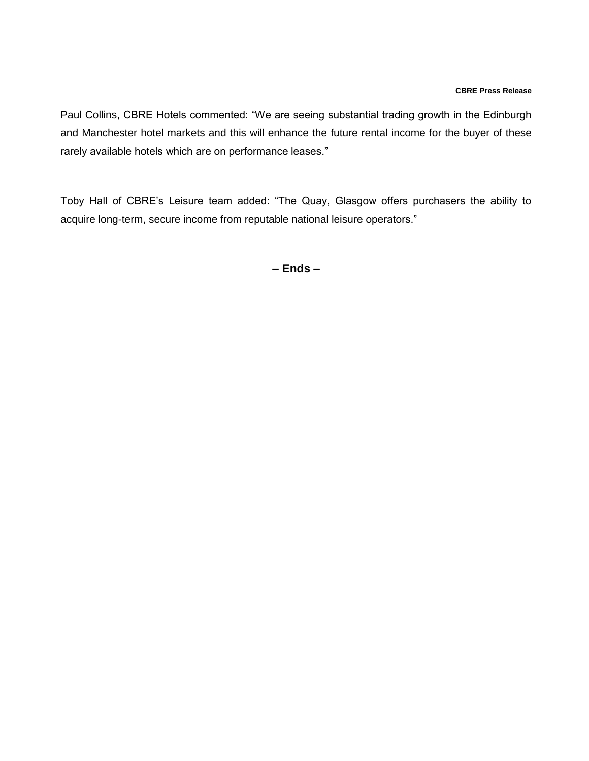#### **CBRE Press Release**

Paul Collins, CBRE Hotels commented: "We are seeing substantial trading growth in the Edinburgh and Manchester hotel markets and this will enhance the future rental income for the buyer of these rarely available hotels which are on performance leases."

Toby Hall of CBRE's Leisure team added: "The Quay, Glasgow offers purchasers the ability to acquire long-term, secure income from reputable national leisure operators."

**– Ends –**